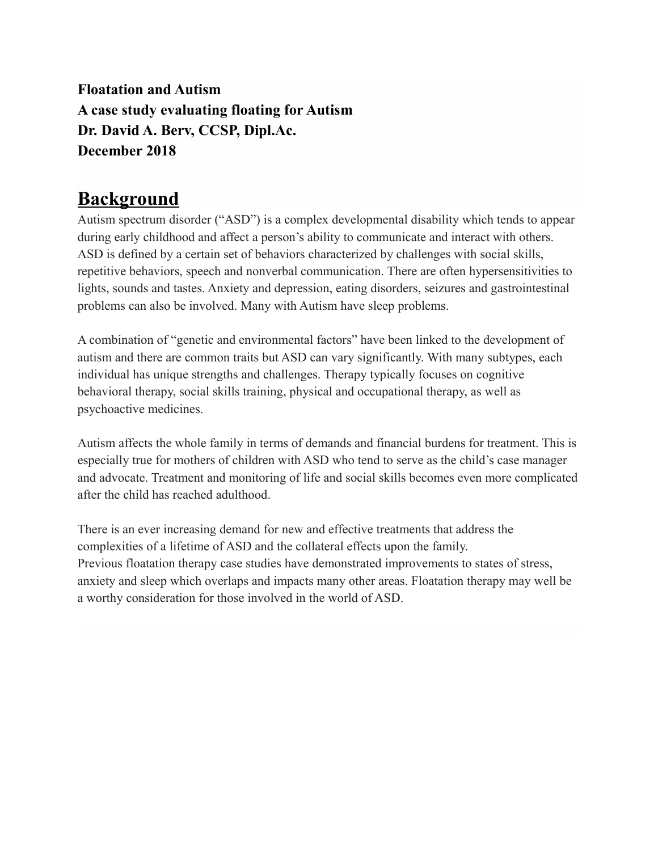**Floatation and Autism A case study evaluating floating for Autism Dr. David A. Berv, CCSP, Dipl.Ac. December 2018**

# **Background**

Autism spectrum disorder ("ASD") is a complex developmental disability which tends to appear during early childhood and affect a person's ability to communicate and interact with others. ASD is defined by a certain set of behaviors characterized by challenges with social skills, repetitive behaviors, speech and nonverbal communication. There are often hypersensitivities to lights, sounds and tastes. Anxiety and depression, eating disorders, seizures and gastrointestinal problems can also be involved. Many with Autism have sleep problems.

A combination of "genetic and environmental factors" have been linked to the development of autism and there are common traits but ASD can vary significantly. With many subtypes, each individual has unique strengths and challenges. Therapy typically focuses on cognitive behavioral therapy, social skills training, physical and occupational therapy, as well as psychoactive medicines.

Autism affects the whole family in terms of demands and financial burdens for treatment. This is especially true for mothers of children with ASD who tend to serve as the child's case manager and advocate. Treatment and monitoring of life and social skills becomes even more complicated after the child has reached adulthood.

There is an ever increasing demand for new and effective treatments that address the complexities of a lifetime of ASD and the collateral effects upon the family. Previous floatation therapy case studies have demonstrated improvements to states of stress, anxiety and sleep which overlaps and impacts many other areas. Floatation therapy may well be a worthy consideration for those involved in the world of ASD.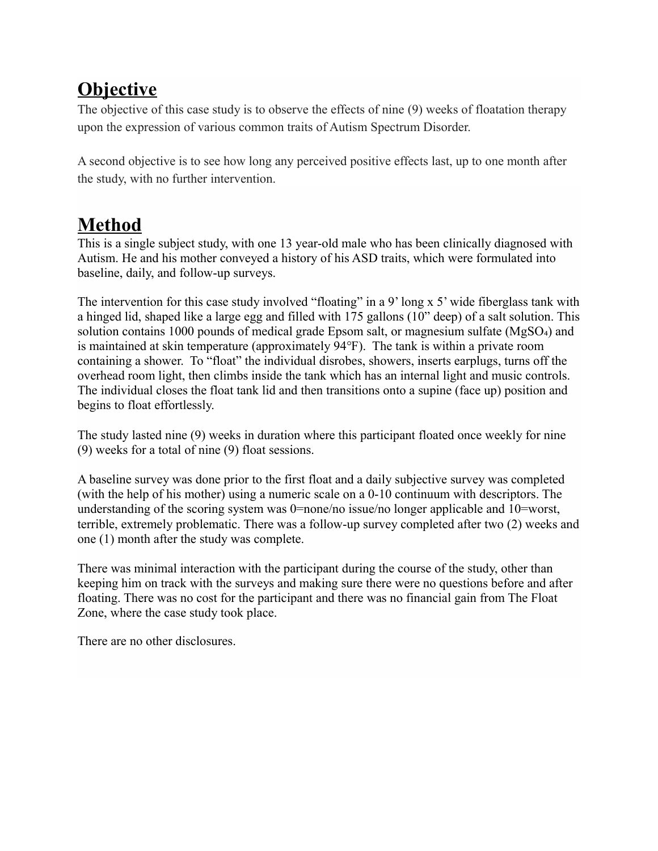# **Objective**

The objective of this case study is to observe the effects of nine (9) weeks of floatation therapy upon the expression of various common traits of Autism Spectrum Disorder.

A second objective is to see how long any perceived positive effects last, up to one month after the study, with no further intervention.

# **Method**

This is a single subject study, with one 13 year-old male who has been clinically diagnosed with Autism. He and his mother conveyed a history of his ASD traits, which were formulated into baseline, daily, and follow-up surveys.

The intervention for this case study involved "floating" in a 9' long x 5' wide fiberglass tank with a hinged lid, shaped like a large egg and filled with 175 gallons (10" deep) of a salt solution. This solution contains 1000 pounds of medical grade Epsom salt, or magnesium sulfate (MgSO<sub>4</sub>) and is maintained at skin temperature (approximately 94℉). The tank is within a private room containing a shower. To "float" the individual disrobes, showers, inserts earplugs, turns off the overhead room light, then climbs inside the tank which has an internal light and music controls. The individual closes the float tank lid and then transitions onto a supine (face up) position and begins to float effortlessly.

The study lasted nine (9) weeks in duration where this participant floated once weekly for nine (9) weeks for a total of nine (9) float sessions.

A baseline survey was done prior to the first float and a daily subjective survey was completed (with the help of his mother) using a numeric scale on a 0-10 continuum with descriptors. The understanding of the scoring system was 0=none/no issue/no longer applicable and 10=worst, terrible, extremely problematic. There was a follow-up survey completed after two (2) weeks and one (1) month after the study was complete.

There was minimal interaction with the participant during the course of the study, other than keeping him on track with the surveys and making sure there were no questions before and after floating. There was no cost for the participant and there was no financial gain from The Float Zone, where the case study took place.

There are no other disclosures.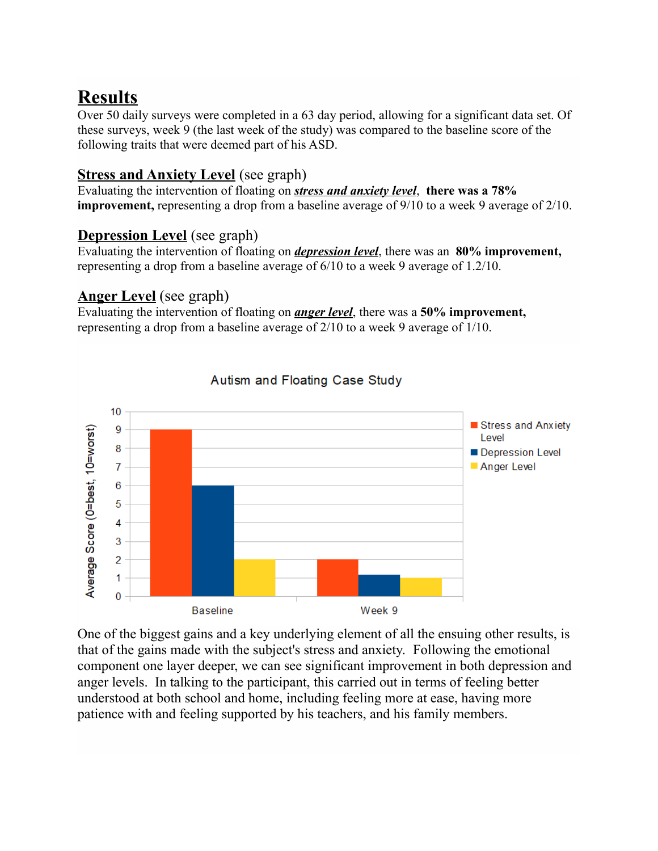# **Results**

Over 50 daily surveys were completed in a 63 day period, allowing for a significant data set. Of these surveys, week 9 (the last week of the study) was compared to the baseline score of the following traits that were deemed part of his ASD.

### **Stress and Anxiety Level** (see graph)

Evaluating the intervention of floating on *stress and anxiety level*, **there was a 78% improvement,** representing a drop from a baseline average of 9/10 to a week 9 average of 2/10.

## **Depression Level** (see graph)

Evaluating the intervention of floating on *depression level*, there was an **80% improvement,**  representing a drop from a baseline average of 6/10 to a week 9 average of 1.2/10.

## **Anger Level** (see graph)

Evaluating the intervention of floating on *anger level*, there was a **50% improvement,** representing a drop from a baseline average of 2/10 to a week 9 average of 1/10.



One of the biggest gains and a key underlying element of all the ensuing other results, is that of the gains made with the subject's stress and anxiety. Following the emotional component one layer deeper, we can see significant improvement in both depression and anger levels. In talking to the participant, this carried out in terms of feeling better understood at both school and home, including feeling more at ease, having more patience with and feeling supported by his teachers, and his family members.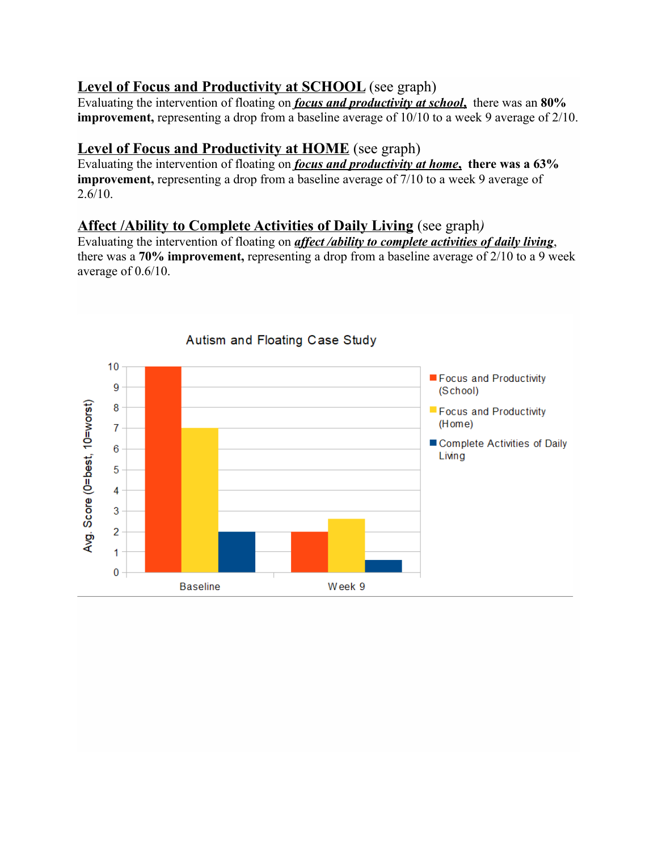### Level of Focus and Productivity at SCHOOL (see graph)

Evaluating the intervention of floating on *focus and productivity at school***,** there was an **80% improvement,** representing a drop from a baseline average of 10/10 to a week 9 average of 2/10.

### **Level of Focus and Productivity at HOME** (see graph)

Evaluating the intervention of floating on *focus and productivity at home***, there was a 63% improvement,** representing a drop from a baseline average of 7/10 to a week 9 average of  $2.6/10.$ 

### **Affect /Ability to Complete Activities of Daily Living** (see graph*)*

Evaluating the intervention of floating on *affect /ability to complete activities of daily living*, there was a **70% improvement,** representing a drop from a baseline average of 2/10 to a 9 week average of 0.6/10.

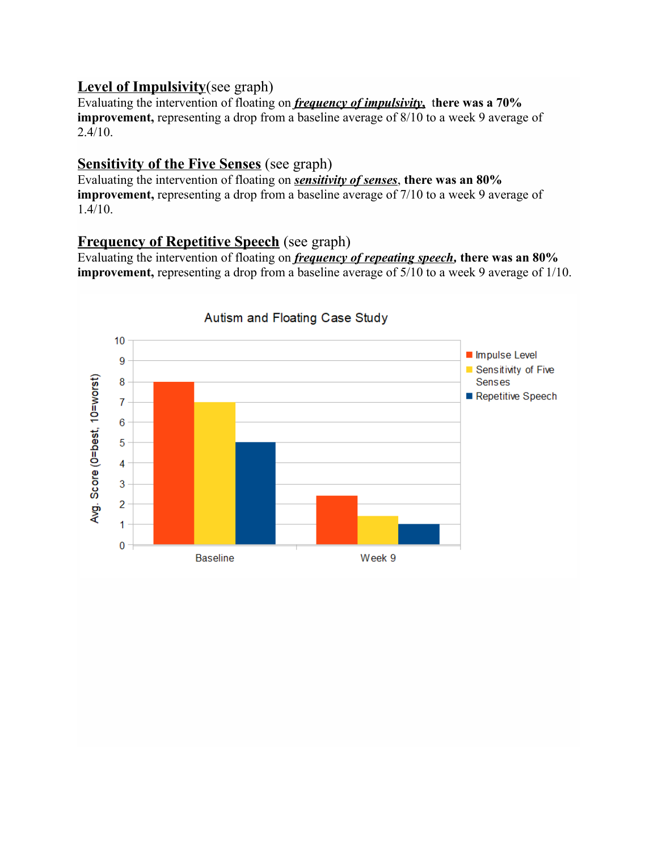#### **Level of Impulsivity**(see graph)

Evaluating the intervention of floating on *frequency of impulsivity***,** t**here was a 70% improvement,** representing a drop from a baseline average of 8/10 to a week 9 average of  $2.4/10.$ 

### **Sensitivity of the Five Senses** (see graph)

Evaluating the intervention of floating on *sensitivity of senses*, **there was an 80% improvement,** representing a drop from a baseline average of 7/10 to a week 9 average of  $1.4/10.$ 

### **Frequency of Repetitive Speech** (see graph)

Evaluating the intervention of floating on *frequency of repeating speech,* **there was an 80% improvement,** representing a drop from a baseline average of 5/10 to a week 9 average of 1/10.

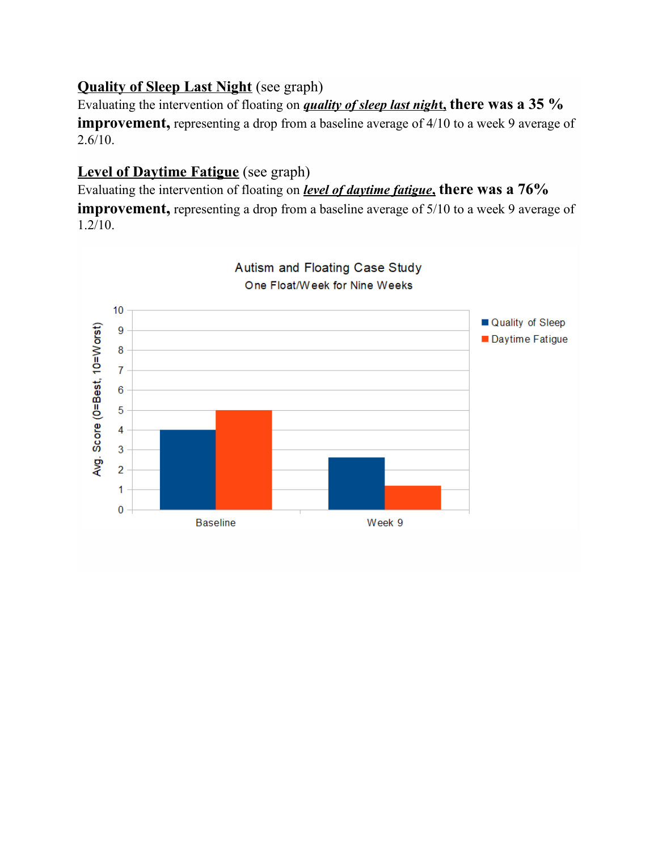## **Quality of Sleep Last Night** (see graph)

Evaluating the intervention of floating on *quality of sleep last night*, there was a 35 % **improvement**, representing a drop from a baseline average of 4/10 to a week 9 average of  $2.6/10.$ 

## **Level of Daytime Fatigue** (see graph)

Evaluating the intervention of floating on *level of daytime fatigue***, there was a 76%** 

**improvement**, representing a drop from a baseline average of 5/10 to a week 9 average of 1.2/10.

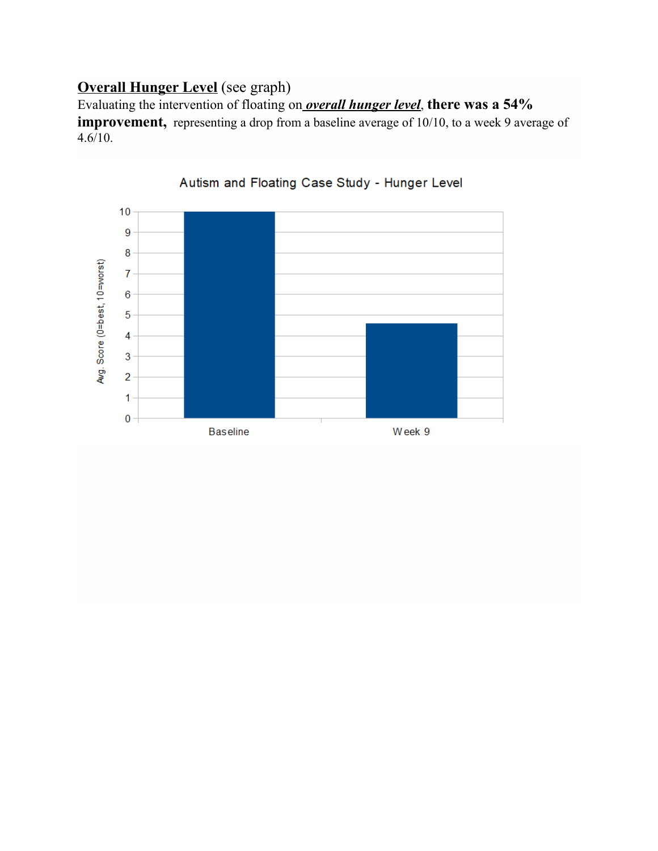## **Overall Hunger Level** (see graph)

Evaluating the intervention of floating on *overall hunger level*, **there was a 54% improvement,** representing a drop from a baseline average of 10/10, to a week 9 average of  $4.6/10.$ 



#### Autism and Floating Case Study - Hunger Level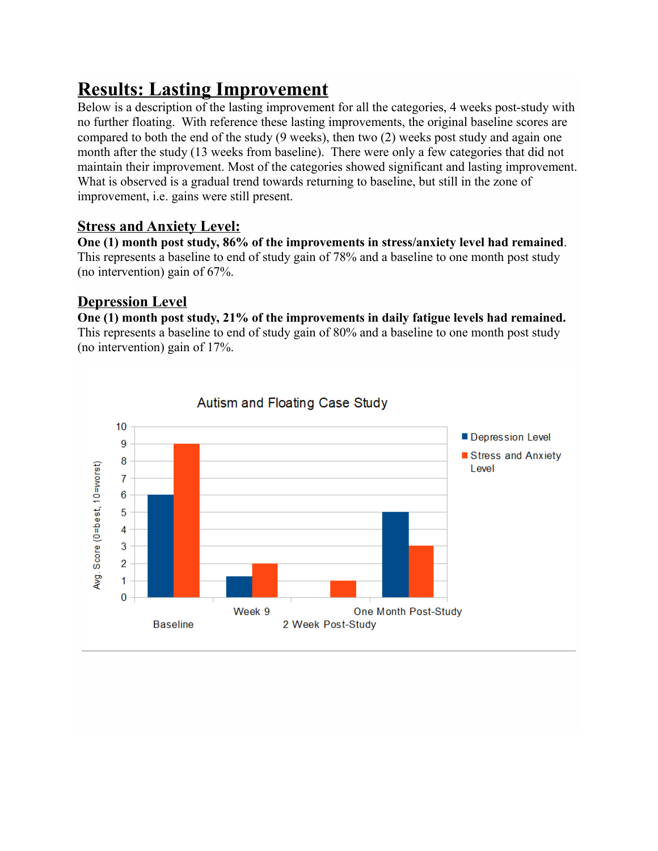# **Results: Lasting Improvement**

Below is a description of the lasting improvement for all the categories, 4 weeks post-study with no further floating. With reference these lasting improvements, the original baseline scores are compared to both the end of the study (9 weeks), then two (2) weeks post study and again one month after the study (13 weeks from baseline). There were only a few categories that did not maintain their improvement. Most of the categories showed significant and lasting improvement. What is observed is a gradual trend towards returning to baseline, but still in the zone of improvement, i.e. gains were still present.

### **Stress and Anxiety Level:**

**One (1) month post study, 86% of the improvements in stress/anxiety level had remained**. This represents a baseline to end of study gain of 78% and a baseline to one month post study (no intervention) gain of 67%.

#### **Depression Level**

**One (1) month post study, 21% of the improvements in daily fatigue levels had remained.** This represents a baseline to end of study gain of 80% and a baseline to one month post study (no intervention) gain of 17%.

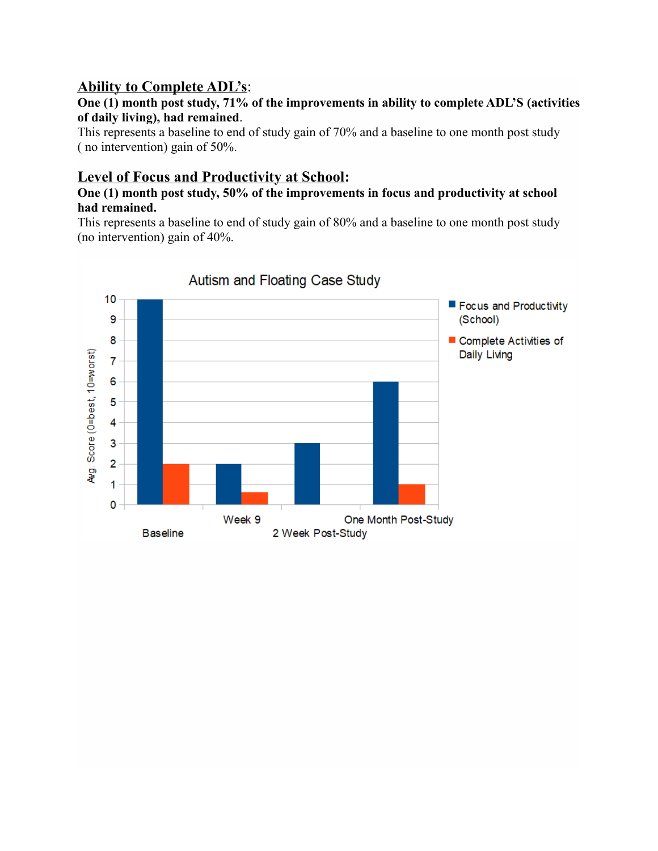#### **Ability to Complete ADL's:**

#### **One (1) month post study, 71% of the improvements in ability to complete ADL'S (activities of daily living), had remained**.

This represents a baseline to end of study gain of 70% and a baseline to one month post study ( no intervention) gain of 50%.

### **Level of Focus and Productivity at School:**

#### **One (1) month post study, 50% of the improvements in focus and productivity at school had remained.**

This represents a baseline to end of study gain of 80% and a baseline to one month post study (no intervention) gain of 40%.

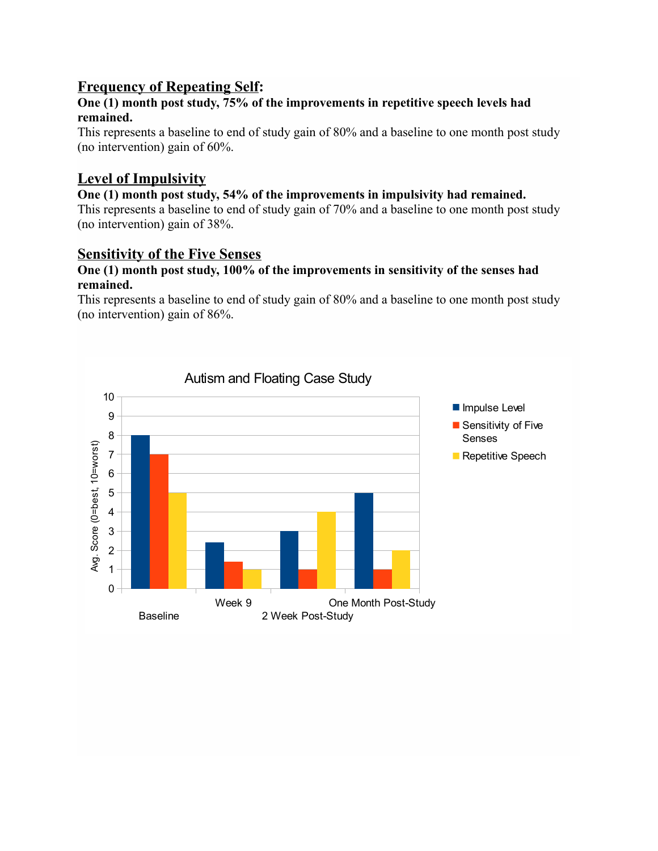## **Frequency of Repeating Self:**

#### **One (1) month post study, 75% of the improvements in repetitive speech levels had remained.**

This represents a baseline to end of study gain of 80% and a baseline to one month post study (no intervention) gain of 60%.

## **Level of Impulsivity**

# **One (1) month post study, 54% of the improvements in impulsivity had remained.**

This represents a baseline to end of study gain of 70% and a baseline to one month post study (no intervention) gain of 38%.

#### **Sensitivity of the Five Senses**

#### **One (1) month post study, 100% of the improvements in sensitivity of the senses had remained.**

This represents a baseline to end of study gain of 80% and a baseline to one month post study (no intervention) gain of 86%.

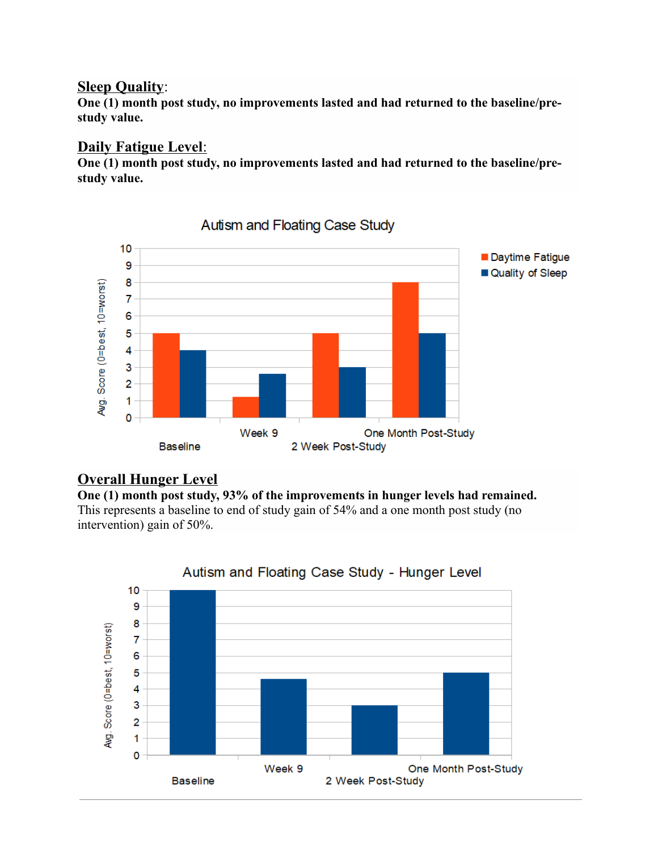#### **Sleep Quality:**

**One (1) month post study, no improvements lasted and had returned to the baseline/prestudy value.**

## **Daily Fatigue Level:**

**One (1) month post study, no improvements lasted and had returned to the baseline/prestudy value.**



Autism and Floating Case Study

#### **Overall Hunger Level**

**One (1) month post study, 93% of the improvements in hunger levels had remained.** This represents a baseline to end of study gain of 54% and a one month post study (no intervention) gain of 50%.



#### Autism and Floating Case Study - Hunger Level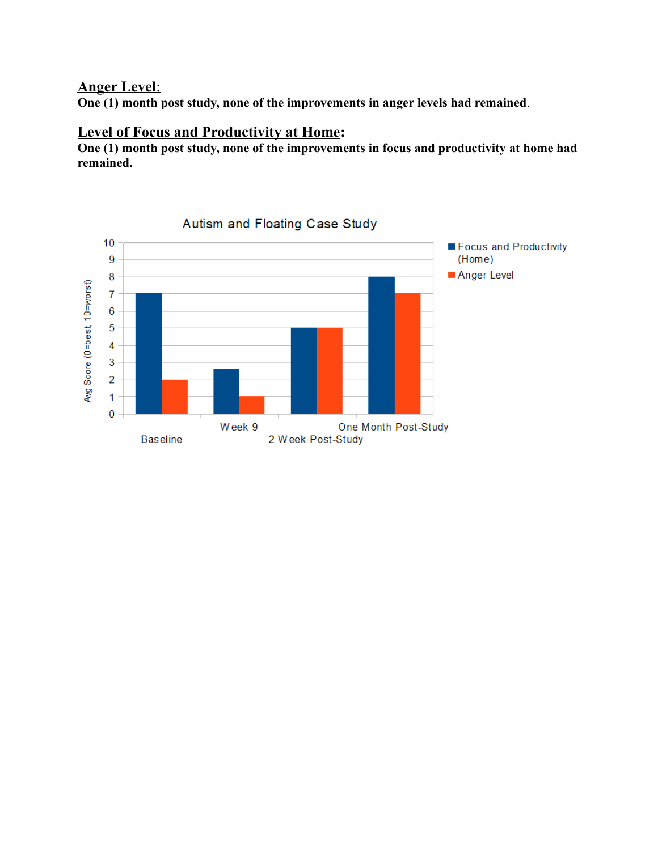## **Anger Level:**

**One (1) month post study, none of the improvements in anger levels had remained**.

### **Level of Focus and Productivity at Home:**

**One (1) month post study, none of the improvements in focus and productivity at home had remained.**

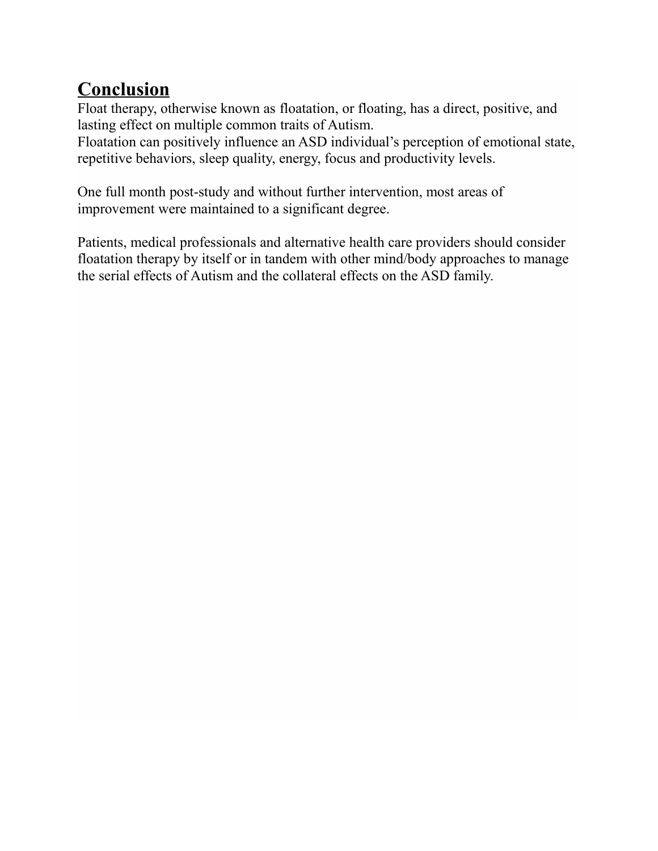# **Conclusion**

Float therapy, otherwise known as floatation, or floating, has a direct, positive, and lasting effect on multiple common traits of Autism.

Floatation can positively influence an ASD individual's perception of emotional state, repetitive behaviors, sleep quality, energy, focus and productivity levels.

One full month post-study and without further intervention, most areas of improvement were maintained to a significant degree.

Patients, medical professionals and alternative health care providers should consider floatation therapy by itself or in tandem with other mind/body approaches to manage the serial effects of Autism and the collateral effects on the ASD family.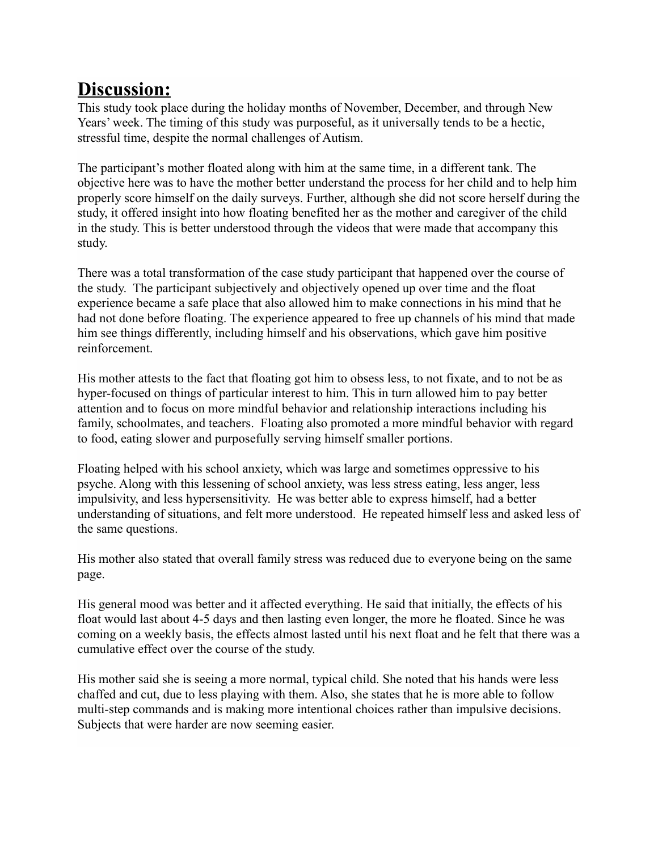# **Discussion:**

This study took place during the holiday months of November, December, and through New Years' week. The timing of this study was purposeful, as it universally tends to be a hectic, stressful time, despite the normal challenges of Autism.

The participant's mother floated along with him at the same time, in a different tank. The objective here was to have the mother better understand the process for her child and to help him properly score himself on the daily surveys. Further, although she did not score herself during the study, it offered insight into how floating benefited her as the mother and caregiver of the child in the study. This is better understood through the videos that were made that accompany this study.

There was a total transformation of the case study participant that happened over the course of the study. The participant subjectively and objectively opened up over time and the float experience became a safe place that also allowed him to make connections in his mind that he had not done before floating. The experience appeared to free up channels of his mind that made him see things differently, including himself and his observations, which gave him positive reinforcement.

His mother attests to the fact that floating got him to obsess less, to not fixate, and to not be as hyper-focused on things of particular interest to him. This in turn allowed him to pay better attention and to focus on more mindful behavior and relationship interactions including his family, schoolmates, and teachers. Floating also promoted a more mindful behavior with regard to food, eating slower and purposefully serving himself smaller portions.

Floating helped with his school anxiety, which was large and sometimes oppressive to his psyche. Along with this lessening of school anxiety, was less stress eating, less anger, less impulsivity, and less hypersensitivity. He was better able to express himself, had a better understanding of situations, and felt more understood. He repeated himself less and asked less of the same questions.

His mother also stated that overall family stress was reduced due to everyone being on the same page.

His general mood was better and it affected everything. He said that initially, the effects of his float would last about 4-5 days and then lasting even longer, the more he floated. Since he was coming on a weekly basis, the effects almost lasted until his next float and he felt that there was a cumulative effect over the course of the study.

His mother said she is seeing a more normal, typical child. She noted that his hands were less chaffed and cut, due to less playing with them. Also, she states that he is more able to follow multi-step commands and is making more intentional choices rather than impulsive decisions. Subjects that were harder are now seeming easier.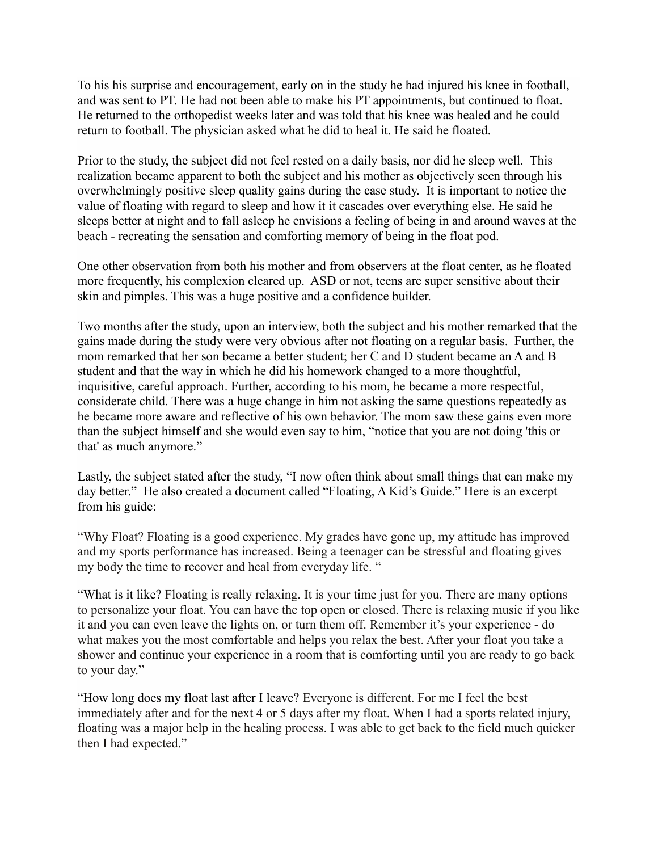To his his surprise and encouragement, early on in the study he had injured his knee in football, and was sent to PT. He had not been able to make his PT appointments, but continued to float. He returned to the orthopedist weeks later and was told that his knee was healed and he could return to football. The physician asked what he did to heal it. He said he floated.

Prior to the study, the subject did not feel rested on a daily basis, nor did he sleep well. This realization became apparent to both the subject and his mother as objectively seen through his overwhelmingly positive sleep quality gains during the case study. It is important to notice the value of floating with regard to sleep and how it it cascades over everything else. He said he sleeps better at night and to fall asleep he envisions a feeling of being in and around waves at the beach - recreating the sensation and comforting memory of being in the float pod.

One other observation from both his mother and from observers at the float center, as he floated more frequently, his complexion cleared up. ASD or not, teens are super sensitive about their skin and pimples. This was a huge positive and a confidence builder.

Two months after the study, upon an interview, both the subject and his mother remarked that the gains made during the study were very obvious after not floating on a regular basis. Further, the mom remarked that her son became a better student; her C and D student became an A and B student and that the way in which he did his homework changed to a more thoughtful, inquisitive, careful approach. Further, according to his mom, he became a more respectful, considerate child. There was a huge change in him not asking the same questions repeatedly as he became more aware and reflective of his own behavior. The mom saw these gains even more than the subject himself and she would even say to him, "notice that you are not doing 'this or that' as much anymore."

Lastly, the subject stated after the study, "I now often think about small things that can make my day better." He also created a document called "Floating, A Kid's Guide." Here is an excerpt from his guide:

"Why Float? Floating is a good experience. My grades have gone up, my attitude has improved and my sports performance has increased. Being a teenager can be stressful and floating gives my body the time to recover and heal from everyday life. "

"What is it like? Floating is really relaxing. It is your time just for you. There are many options to personalize your float. You can have the top open or closed. There is relaxing music if you like it and you can even leave the lights on, or turn them off. Remember it's your experience - do what makes you the most comfortable and helps you relax the best. After your float you take a shower and continue your experience in a room that is comforting until you are ready to go back to your day."

"How long does my float last after I leave? Everyone is different. For me I feel the best immediately after and for the next 4 or 5 days after my float. When I had a sports related injury, floating was a major help in the healing process. I was able to get back to the field much quicker then I had expected."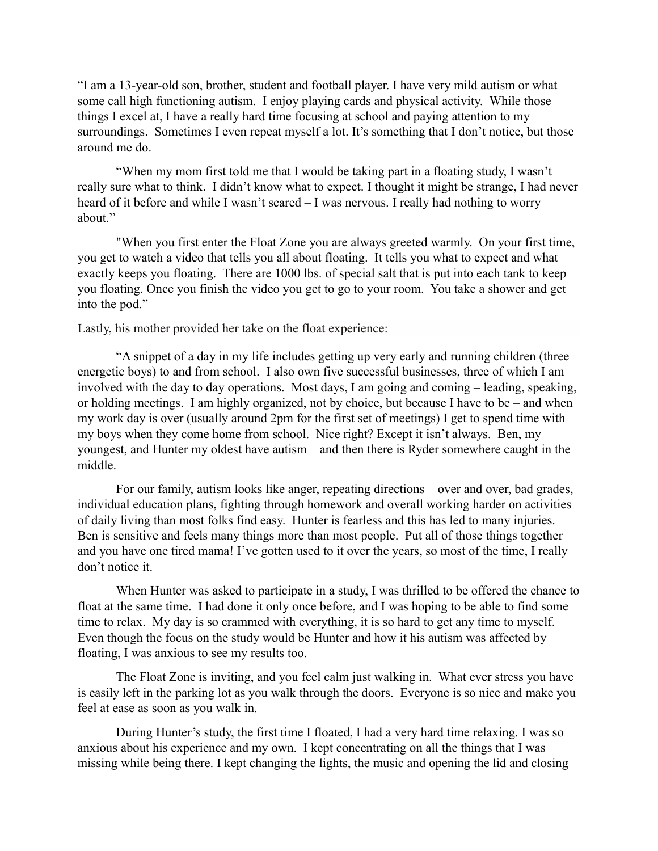"I am a 13-year-old son, brother, student and football player. I have very mild autism or what some call high functioning autism. I enjoy playing cards and physical activity. While those things I excel at, I have a really hard time focusing at school and paying attention to my surroundings. Sometimes I even repeat myself a lot. It's something that I don't notice, but those around me do.

"When my mom first told me that I would be taking part in a floating study, I wasn't really sure what to think. I didn't know what to expect. I thought it might be strange, I had never heard of it before and while I wasn't scared – I was nervous. I really had nothing to worry about."

"When you first enter the Float Zone you are always greeted warmly. On your first time, you get to watch a video that tells you all about floating. It tells you what to expect and what exactly keeps you floating. There are 1000 lbs. of special salt that is put into each tank to keep you floating. Once you finish the video you get to go to your room. You take a shower and get into the pod."

Lastly, his mother provided her take on the float experience:

"A snippet of a day in my life includes getting up very early and running children (three energetic boys) to and from school. I also own five successful businesses, three of which I am involved with the day to day operations. Most days, I am going and coming – leading, speaking, or holding meetings. I am highly organized, not by choice, but because I have to be – and when my work day is over (usually around 2pm for the first set of meetings) I get to spend time with my boys when they come home from school. Nice right? Except it isn't always. Ben, my youngest, and Hunter my oldest have autism – and then there is Ryder somewhere caught in the middle.

For our family, autism looks like anger, repeating directions – over and over, bad grades, individual education plans, fighting through homework and overall working harder on activities of daily living than most folks find easy. Hunter is fearless and this has led to many injuries. Ben is sensitive and feels many things more than most people. Put all of those things together and you have one tired mama! I've gotten used to it over the years, so most of the time, I really don't notice it.

When Hunter was asked to participate in a study, I was thrilled to be offered the chance to float at the same time. I had done it only once before, and I was hoping to be able to find some time to relax. My day is so crammed with everything, it is so hard to get any time to myself. Even though the focus on the study would be Hunter and how it his autism was affected by floating, I was anxious to see my results too.

The Float Zone is inviting, and you feel calm just walking in. What ever stress you have is easily left in the parking lot as you walk through the doors. Everyone is so nice and make you feel at ease as soon as you walk in.

During Hunter's study, the first time I floated, I had a very hard time relaxing. I was so anxious about his experience and my own. I kept concentrating on all the things that I was missing while being there. I kept changing the lights, the music and opening the lid and closing